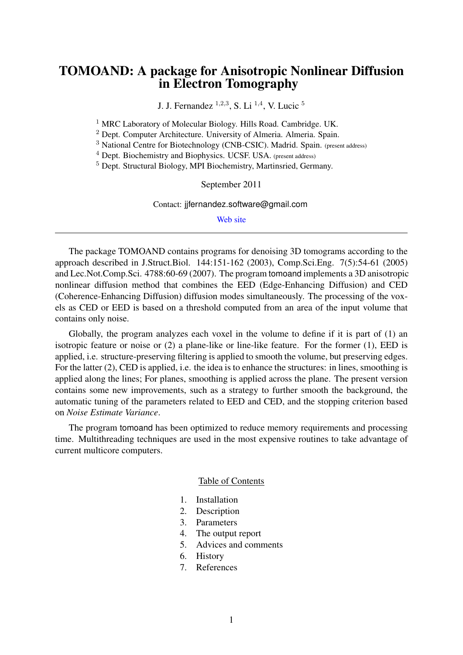# TOMOAND: A package for Anisotropic Nonlinear Diffusion in Electron Tomography

J. J. Fernandez  $^{1,2,3}$ , S. Li  $^{1,4}$ , V. Lucic  $^5$ 

<sup>1</sup> MRC Laboratory of Molecular Biology. Hills Road. Cambridge. UK.

<sup>2</sup> Dept. Computer Architecture. University of Almeria. Almeria. Spain.

<sup>3</sup> National Centre for Biotechnology (CNB-CSIC). Madrid. Spain. (present address)

<sup>4</sup> Dept. Biochemistry and Biophysics. UCSF. USA. (present address)

<sup>5</sup> Dept. Structural Biology, MPI Biochemistry, Martinsried, Germany.

September 2011

Contact: jjfernandez.software@gmail.com

[Web site](http://sites.google.com/site/3demimageprocessing/tomoand)

The package TOMOAND contains programs for denoising 3D tomograms according to the approach described in J.Struct.Biol. 144:151-162 (2003), Comp.Sci.Eng. 7(5):54-61 (2005) and Lec.Not.Comp.Sci. 4788:60-69 (2007). The program tomoand implements a 3D anisotropic nonlinear diffusion method that combines the EED (Edge-Enhancing Diffusion) and CED (Coherence-Enhancing Diffusion) diffusion modes simultaneously. The processing of the voxels as CED or EED is based on a threshold computed from an area of the input volume that contains only noise.

Globally, the program analyzes each voxel in the volume to define if it is part of (1) an isotropic feature or noise or (2) a plane-like or line-like feature. For the former (1), EED is applied, i.e. structure-preserving filtering is applied to smooth the volume, but preserving edges. For the latter (2), CED is applied, i.e. the idea is to enhance the structures: in lines, smoothing is applied along the lines; For planes, smoothing is applied across the plane. The present version contains some new improvements, such as a strategy to further smooth the background, the automatic tuning of the parameters related to EED and CED, and the stopping criterion based on *Noise Estimate Variance*.

The program tomoand has been optimized to reduce memory requirements and processing time. Multithreading techniques are used in the most expensive routines to take advantage of current multicore computers.

#### Table of Contents

- 1. Installation
- 2. Description
- 3. Parameters
- 4. The output report
- 5. Advices and comments
- 6. History
- 7. References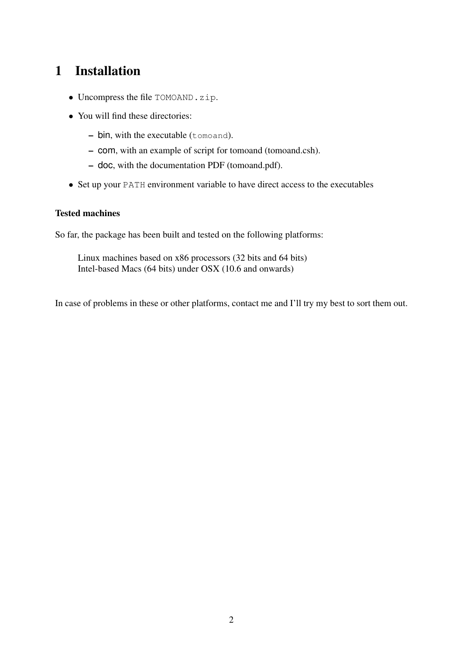# 1 Installation

- Uncompress the file TOMOAND.zip.
- You will find these directories:
	- bin, with the executable (tomoand).
	- com, with an example of script for tomoand (tomoand.csh).
	- doc, with the documentation PDF (tomoand.pdf).
- Set up your PATH environment variable to have direct access to the executables

### Tested machines

So far, the package has been built and tested on the following platforms:

Linux machines based on x86 processors (32 bits and 64 bits) Intel-based Macs (64 bits) under OSX (10.6 and onwards)

In case of problems in these or other platforms, contact me and I'll try my best to sort them out.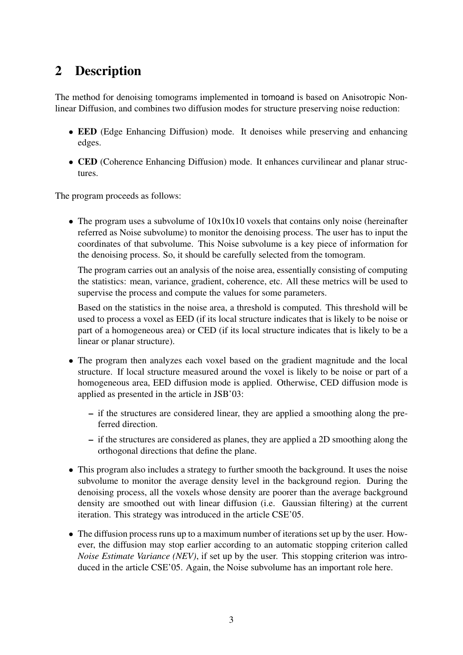# 2 Description

The method for denoising tomograms implemented in tomoand is based on Anisotropic Nonlinear Diffusion, and combines two diffusion modes for structure preserving noise reduction:

- EED (Edge Enhancing Diffusion) mode. It denoises while preserving and enhancing edges.
- CED (Coherence Enhancing Diffusion) mode. It enhances curvilinear and planar structures.

The program proceeds as follows:

• The program uses a subvolume of  $10x10x10$  voxels that contains only noise (hereinafter referred as Noise subvolume) to monitor the denoising process. The user has to input the coordinates of that subvolume. This Noise subvolume is a key piece of information for the denoising process. So, it should be carefully selected from the tomogram.

The program carries out an analysis of the noise area, essentially consisting of computing the statistics: mean, variance, gradient, coherence, etc. All these metrics will be used to supervise the process and compute the values for some parameters.

Based on the statistics in the noise area, a threshold is computed. This threshold will be used to process a voxel as EED (if its local structure indicates that is likely to be noise or part of a homogeneous area) or CED (if its local structure indicates that is likely to be a linear or planar structure).

- The program then analyzes each voxel based on the gradient magnitude and the local structure. If local structure measured around the voxel is likely to be noise or part of a homogeneous area, EED diffusion mode is applied. Otherwise, CED diffusion mode is applied as presented in the article in JSB'03:
	- if the structures are considered linear, they are applied a smoothing along the preferred direction.
	- if the structures are considered as planes, they are applied a 2D smoothing along the orthogonal directions that define the plane.
- This program also includes a strategy to further smooth the background. It uses the noise subvolume to monitor the average density level in the background region. During the denoising process, all the voxels whose density are poorer than the average background density are smoothed out with linear diffusion (i.e. Gaussian filtering) at the current iteration. This strategy was introduced in the article CSE'05.
- The diffusion process runs up to a maximum number of iterations set up by the user. However, the diffusion may stop earlier according to an automatic stopping criterion called *Noise Estimate Variance (NEV)*, if set up by the user. This stopping criterion was introduced in the article CSE'05. Again, the Noise subvolume has an important role here.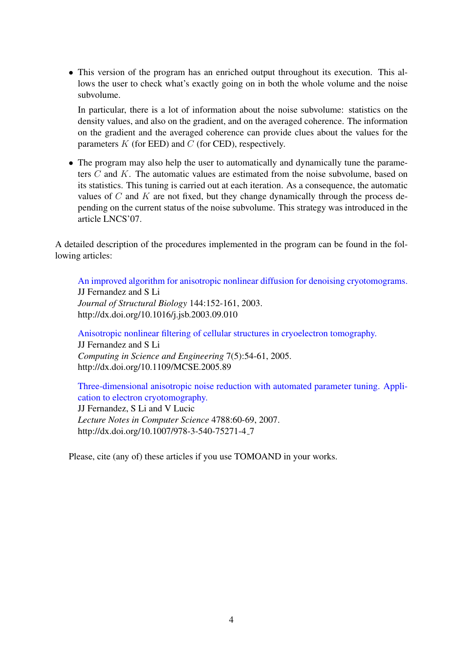• This version of the program has an enriched output throughout its execution. This allows the user to check what's exactly going on in both the whole volume and the noise subvolume.

In particular, there is a lot of information about the noise subvolume: statistics on the density values, and also on the gradient, and on the averaged coherence. The information on the gradient and the averaged coherence can provide clues about the values for the parameters  $K$  (for EED) and  $C$  (for CED), respectively.

• The program may also help the user to automatically and dynamically tune the parameters C and K. The automatic values are estimated from the noise subvolume, based on its statistics. This tuning is carried out at each iteration. As a consequence, the automatic values of  $C$  and  $K$  are not fixed, but they change dynamically through the process depending on the current status of the noise subvolume. This strategy was introduced in the article LNCS'07.

A detailed description of the procedures implemented in the program can be found in the following articles:

[An improved algorithm for anisotropic nonlinear diffusion for denoising cryotomograms.](http://dx.doi.org/10.1016/j.jsb.2003.09.010) JJ Fernandez and S Li *Journal of Structural Biology* 144:152-161, 2003. http://dx.doi.org/10.1016/j.jsb.2003.09.010

[Anisotropic nonlinear filtering of cellular structures in cryoelectron tomography.](http://dx.doi.org/10.1109/MCSE.2005.89) JJ Fernandez and S Li *Computing in Science and Engineering* 7(5):54-61, 2005. http://dx.doi.org/10.1109/MCSE.2005.89

[Three-dimensional anisotropic noise reduction with automated parameter tuning. Appli](http://dx.doi.org/10.1007/978-3-540-75271-4_7)[cation to electron cryotomography.](http://dx.doi.org/10.1007/978-3-540-75271-4_7) JJ Fernandez, S Li and V Lucic

*Lecture Notes in Computer Science* 4788:60-69, 2007. http://dx.doi.org/10.1007/978-3-540-75271-4 7

Please, cite (any of) these articles if you use TOMOAND in your works.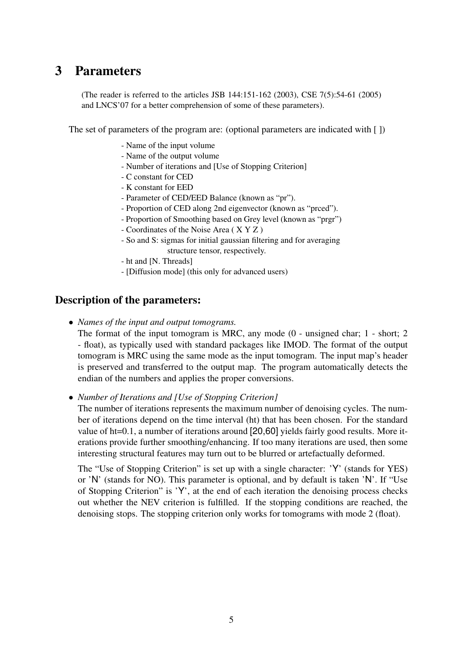# 3 Parameters

(The reader is referred to the articles JSB 144:151-162 (2003), CSE 7(5):54-61 (2005) and LNCS'07 for a better comprehension of some of these parameters).

The set of parameters of the program are: (optional parameters are indicated with [ ])

- Name of the input volume
- Name of the output volume
- Number of iterations and [Use of Stopping Criterion]
- C constant for CED
- K constant for EED
- Parameter of CED/EED Balance (known as "pr").
- Proportion of CED along 2nd eigenvector (known as "prced").
- Proportion of Smoothing based on Grey level (known as "prgr")
- Coordinates of the Noise Area ( X Y Z )
- So and S: sigmas for initial gaussian filtering and for averaging structure tensor, respectively.
- ht and [N. Threads]
- [Diffusion mode] (this only for advanced users)

## Description of the parameters:

• *Names of the input and output tomograms.*

The format of the input tomogram is MRC, any mode (0 - unsigned char; 1 - short; 2 - float), as typically used with standard packages like IMOD. The format of the output tomogram is MRC using the same mode as the input tomogram. The input map's header is preserved and transferred to the output map. The program automatically detects the endian of the numbers and applies the proper conversions.

• *Number of Iterations and [Use of Stopping Criterion]*

The number of iterations represents the maximum number of denoising cycles. The number of iterations depend on the time interval (ht) that has been chosen. For the standard value of ht=0.1, a number of iterations around [20,60] yields fairly good results. More iterations provide further smoothing/enhancing. If too many iterations are used, then some interesting structural features may turn out to be blurred or artefactually deformed.

The "Use of Stopping Criterion" is set up with a single character: 'Y' (stands for YES) or 'N' (stands for NO). This parameter is optional, and by default is taken 'N'. If "Use of Stopping Criterion" is 'Y', at the end of each iteration the denoising process checks out whether the NEV criterion is fulfilled. If the stopping conditions are reached, the denoising stops. The stopping criterion only works for tomograms with mode 2 (float).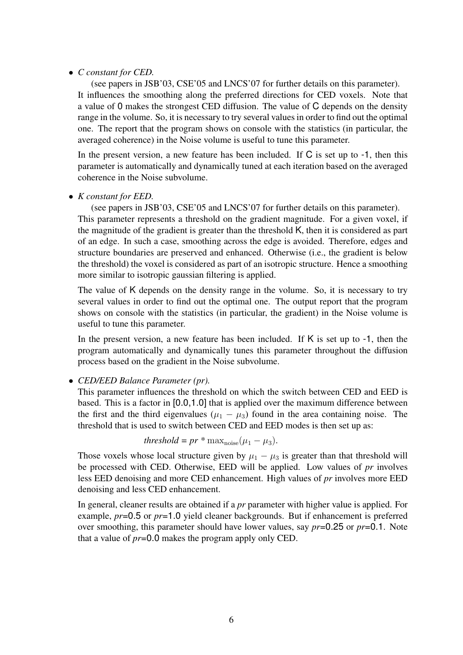#### • *C constant for CED.*

(see papers in JSB'03, CSE'05 and LNCS'07 for further details on this parameter). It influences the smoothing along the preferred directions for CED voxels. Note that a value of 0 makes the strongest CED diffusion. The value of C depends on the density range in the volume. So, it is necessary to try several values in order to find out the optimal one. The report that the program shows on console with the statistics (in particular, the averaged coherence) in the Noise volume is useful to tune this parameter.

In the present version, a new feature has been included. If C is set up to -1, then this parameter is automatically and dynamically tuned at each iteration based on the averaged coherence in the Noise subvolume.

### • *K constant for EED.*

(see papers in JSB'03, CSE'05 and LNCS'07 for further details on this parameter).

This parameter represents a threshold on the gradient magnitude. For a given voxel, if the magnitude of the gradient is greater than the threshold K, then it is considered as part of an edge. In such a case, smoothing across the edge is avoided. Therefore, edges and structure boundaries are preserved and enhanced. Otherwise (i.e., the gradient is below the threshold) the voxel is considered as part of an isotropic structure. Hence a smoothing more similar to isotropic gaussian filtering is applied.

The value of K depends on the density range in the volume. So, it is necessary to try several values in order to find out the optimal one. The output report that the program shows on console with the statistics (in particular, the gradient) in the Noise volume is useful to tune this parameter.

In the present version, a new feature has been included. If  $K$  is set up to  $-1$ , then the program automatically and dynamically tunes this parameter throughout the diffusion process based on the gradient in the Noise subvolume.

### • *CED/EED Balance Parameter (pr).*

This parameter influences the threshold on which the switch between CED and EED is based. This is a factor in [0.0,1.0] that is applied over the maximum difference between the first and the third eigenvalues  $(\mu_1 - \mu_3)$  found in the area containing noise. The threshold that is used to switch between CED and EED modes is then set up as:

*threshold* = 
$$
pr * max_{noise}(\mu_1 - \mu_3)
$$
.

Those voxels whose local structure given by  $\mu_1 - \mu_3$  is greater than that threshold will be processed with CED. Otherwise, EED will be applied. Low values of *pr* involves less EED denoising and more CED enhancement. High values of *pr* involves more EED denoising and less CED enhancement.

In general, cleaner results are obtained if a *pr* parameter with higher value is applied. For example, *pr*=0.5 or *pr*=1.0 yield cleaner backgrounds. But if enhancement is preferred over smoothing, this parameter should have lower values, say *pr*=0.25 or *pr*=0.1. Note that a value of *pr*=0.0 makes the program apply only CED.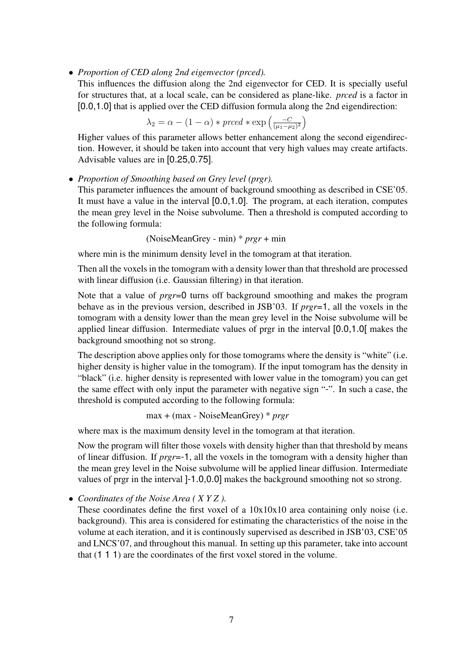• *Proportion of CED along 2nd eigenvector (prced).*

This influences the diffusion along the 2nd eigenvector for CED. It is specially useful for structures that, at a local scale, can be considered as plane-like. *prced* is a factor in [0.0,1.0] that is applied over the CED diffusion formula along the 2nd eigendirection:

$$
\lambda_2 = \alpha - (1 - \alpha) * pred * \exp\left(\frac{-C}{(\mu_1 - \mu_2)^2}\right)
$$

Higher values of this parameter allows better enhancement along the second eigendirection. However, it should be taken into account that very high values may create artifacts. Advisable values are in [0.25,0.75].

#### • *Proportion of Smoothing based on Grey level (prgr).*

This parameter influences the amount of background smoothing as described in CSE'05. It must have a value in the interval [0.0,1.0]. The program, at each iteration, computes the mean grey level in the Noise subvolume. Then a threshold is computed according to the following formula:

(NoiseMeanGrey - min) \* *prgr* + min

where min is the minimum density level in the tomogram at that iteration.

Then all the voxels in the tomogram with a density lower than that threshold are processed with linear diffusion (i.e. Gaussian filtering) in that iteration.

Note that a value of *prgr*=0 turns off background smoothing and makes the program behave as in the previous version, described in JSB'03. If *prgr*=1, all the voxels in the tomogram with a density lower than the mean grey level in the Noise subvolume will be applied linear diffusion. Intermediate values of prgr in the interval [0.0,1.0[ makes the background smoothing not so strong.

The description above applies only for those tomograms where the density is "white" (i.e. higher density is higher value in the tomogram). If the input tomogram has the density in "black" (i.e. higher density is represented with lower value in the tomogram) you can get the same effect with only input the parameter with negative sign "-". In such a case, the threshold is computed according to the following formula:

```
max + (max - NoiseMeanGrey) * prgr
```
where max is the maximum density level in the tomogram at that iteration.

Now the program will filter those voxels with density higher than that threshold by means of linear diffusion. If *prgr*=-1, all the voxels in the tomogram with a density higher than the mean grey level in the Noise subvolume will be applied linear diffusion. Intermediate values of prgr in the interval ]-1.0,0.0] makes the background smoothing not so strong.

#### • *Coordinates of the Noise Area ( X Y Z ).*

These coordinates define the first voxel of a 10x10x10 area containing only noise (i.e. background). This area is considered for estimating the characteristics of the noise in the volume at each iteration, and it is continously supervised as described in JSB'03, CSE'05 and LNCS'07, and throughout this manual. In setting up this parameter, take into account that (1 1 1) are the coordinates of the first voxel stored in the volume.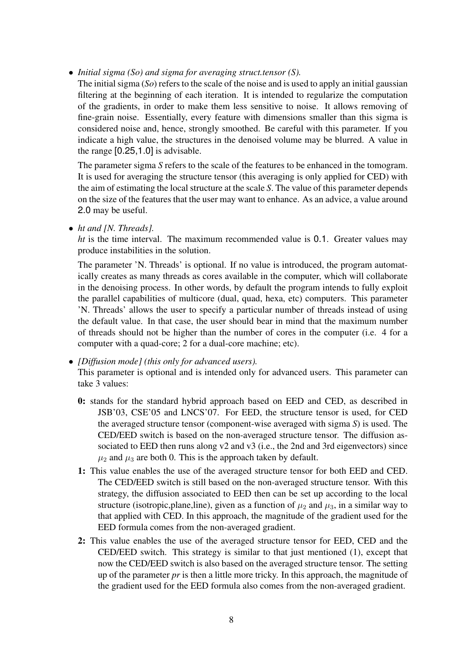• *Initial sigma (So) and sigma for averaging struct.tensor (S).*

The initial sigma (*So*) refers to the scale of the noise and is used to apply an initial gaussian filtering at the beginning of each iteration. It is intended to regularize the computation of the gradients, in order to make them less sensitive to noise. It allows removing of fine-grain noise. Essentially, every feature with dimensions smaller than this sigma is considered noise and, hence, strongly smoothed. Be careful with this parameter. If you indicate a high value, the structures in the denoised volume may be blurred. A value in the range [0.25,1.0] is advisable.

The parameter sigma *S* refers to the scale of the features to be enhanced in the tomogram. It is used for averaging the structure tensor (this averaging is only applied for CED) with the aim of estimating the local structure at the scale *S*. The value of this parameter depends on the size of the features that the user may want to enhance. As an advice, a value around 2.0 may be useful.

• *ht and [N. Threads].*

*ht* is the time interval. The maximum recommended value is 0.1. Greater values may produce instabilities in the solution.

The parameter 'N. Threads' is optional. If no value is introduced, the program automatically creates as many threads as cores available in the computer, which will collaborate in the denoising process. In other words, by default the program intends to fully exploit the parallel capabilities of multicore (dual, quad, hexa, etc) computers. This parameter 'N. Threads' allows the user to specify a particular number of threads instead of using the default value. In that case, the user should bear in mind that the maximum number of threads should not be higher than the number of cores in the computer (i.e. 4 for a computer with a quad-core; 2 for a dual-core machine; etc).

• *[Diffusion mode] (this only for advanced users).*

This parameter is optional and is intended only for advanced users. This parameter can take 3 values:

- 0: stands for the standard hybrid approach based on EED and CED, as described in JSB'03, CSE'05 and LNCS'07. For EED, the structure tensor is used, for CED the averaged structure tensor (component-wise averaged with sigma *S*) is used. The CED/EED switch is based on the non-averaged structure tensor. The diffusion associated to EED then runs along v2 and v3 (i.e., the 2nd and 3rd eigenvectors) since  $\mu_2$  and  $\mu_3$  are both 0. This is the approach taken by default.
- 1: This value enables the use of the averaged structure tensor for both EED and CED. The CED/EED switch is still based on the non-averaged structure tensor. With this strategy, the diffusion associated to EED then can be set up according to the local structure (isotropic, plane, line), given as a function of  $\mu_2$  and  $\mu_3$ , in a similar way to that applied with CED. In this approach, the magnitude of the gradient used for the EED formula comes from the non-averaged gradient.
- 2: This value enables the use of the averaged structure tensor for EED, CED and the CED/EED switch. This strategy is similar to that just mentioned (1), except that now the CED/EED switch is also based on the averaged structure tensor. The setting up of the parameter *pr* is then a little more tricky. In this approach, the magnitude of the gradient used for the EED formula also comes from the non-averaged gradient.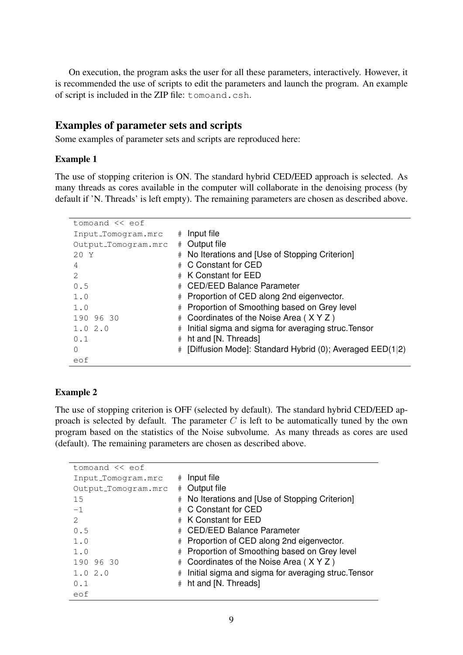On execution, the program asks the user for all these parameters, interactively. However, it is recommended the use of scripts to edit the parameters and launch the program. An example of script is included in the ZIP file: tomoand.csh.

### Examples of parameter sets and scripts

Some examples of parameter sets and scripts are reproduced here:

#### Example 1

The use of stopping criterion is ON. The standard hybrid CED/EED approach is selected. As many threads as cores available in the computer will collaborate in the denoising process (by default if 'N. Threads' is left empty). The remaining parameters are chosen as described above.

| tomoand $\lt\lt$ eof |   |                                                          |
|----------------------|---|----------------------------------------------------------|
| Input_Tomogram.mrc   | # | Input file                                               |
| Output_Tomogram.mrc  |   | # Output file                                            |
| 20 Y                 |   | # No Iterations and [Use of Stopping Criterion]          |
| 4                    |   | # C Constant for CED                                     |
| 2                    |   | # K Constant for EED                                     |
| 0.5                  |   | # CED/EED Balance Parameter                              |
| 1.0                  |   | # Proportion of CED along 2nd eigenvector.               |
| 1.0                  |   | # Proportion of Smoothing based on Grey level            |
| 190 96 30            |   | # Coordinates of the Noise Area (XYZ)                    |
| 1.02.0               | # | Initial sigma and sigma for averaging struc. Tensor      |
| 0.1                  | # | ht and [N. Threads]                                      |
| $\bigcap$            | # | [Diffusion Mode]: Standard Hybrid (0); Averaged EED(1 2) |
| eof                  |   |                                                          |

#### Example 2

The use of stopping criterion is OFF (selected by default). The standard hybrid CED/EED approach is selected by default. The parameter  $C$  is left to be automatically tuned by the own program based on the statistics of the Noise subvolume. As many threads as cores are used (default). The remaining parameters are chosen as described above.

| tomoand $\lt\lt$ eof |                                                                    |
|----------------------|--------------------------------------------------------------------|
| Input_Tomogram.mrc   | Input file<br>$_{\rm \#}$                                          |
| Output_Tomogram.mrc  | Output file<br>#                                                   |
| 15                   | No Iterations and [Use of Stopping Criterion]<br>#                 |
| $-1$                 | C Constant for CED                                                 |
| 2                    | K Constant for EED                                                 |
| 0.5                  | <b>CED/EED Balance Parameter</b>                                   |
| 1.0                  | Proportion of CED along 2nd eigenvector.<br>$_{\rm \#}$            |
| 1.0                  | Proportion of Smoothing based on Grey level<br>$_{\rm \#}$         |
| 190 96 30            | Coordinates of the Noise Area (XYZ)<br>$_{\rm \#}$                 |
| 1.02.0               | Initial sigma and sigma for averaging struc. Tensor<br>$_{\rm \#}$ |
| 0.1                  | ht and [N. Threads]<br>#                                           |
| eof                  |                                                                    |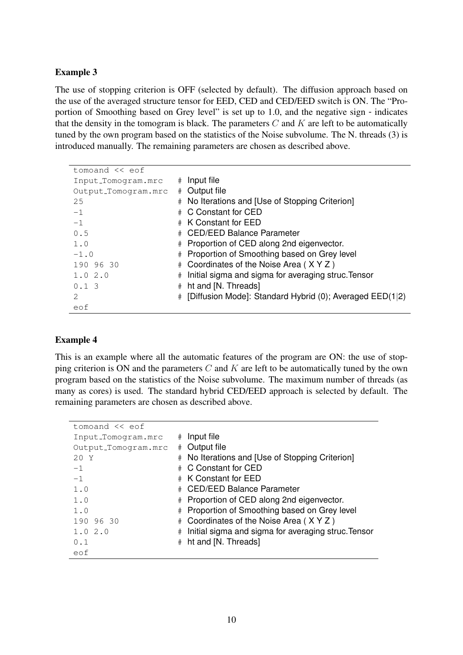### Example 3

The use of stopping criterion is OFF (selected by default). The diffusion approach based on the use of the averaged structure tensor for EED, CED and CED/EED switch is ON. The "Proportion of Smoothing based on Grey level" is set up to 1.0, and the negative sign - indicates that the density in the tomogram is black. The parameters  $C$  and  $K$  are left to be automatically tuned by the own program based on the statistics of the Noise subvolume. The N. threads (3) is introduced manually. The remaining parameters are chosen as described above.

| tomoand $\lt\lt$ eof |   |                                                          |
|----------------------|---|----------------------------------------------------------|
| Input_Tomogram.mrc   | # | Input file                                               |
| Output_Tomogram.mrc  | # | Output file                                              |
| 25                   | # | No Iterations and [Use of Stopping Criterion]            |
| $-1$                 |   | # C Constant for CED                                     |
| $-1$                 |   | # K Constant for EED                                     |
| 0.5                  | # | <b>CED/EED Balance Parameter</b>                         |
| 1.0                  |   | # Proportion of CED along 2nd eigenvector.               |
| $-1.0$               | # | Proportion of Smoothing based on Grey level              |
| 190 96 30            | # | Coordinates of the Noise Area (XYZ)                      |
| 1.02.0               | # | Initial sigma and sigma for averaging struc. Tensor      |
| 0.13                 | # | ht and [N. Threads]                                      |
| 2                    | # | [Diffusion Mode]: Standard Hybrid (0); Averaged EED(1 2) |
| eof                  |   |                                                          |

#### Example 4

This is an example where all the automatic features of the program are ON: the use of stopping criterion is ON and the parameters  $C$  and  $K$  are left to be automatically tuned by the own program based on the statistics of the Noise subvolume. The maximum number of threads (as many as cores) is used. The standard hybrid CED/EED approach is selected by default. The remaining parameters are chosen as described above.

| tomoand $\lt\lt$ eof |             |                                                     |
|----------------------|-------------|-----------------------------------------------------|
| Input_Tomogram.mrc   | #           | Input file                                          |
| Output_Tomogram.mrc  | $_{\rm \#}$ | Output file                                         |
| 20Y                  | #           | No Iterations and [Use of Stopping Criterion]       |
| $-1$                 | $_{\rm \#}$ | C Constant for CED                                  |
| $-1$                 | #           | K Constant for EED                                  |
| 1.0                  | $_{\rm \#}$ | <b>CED/EED Balance Parameter</b>                    |
| 1.0                  | $_{\rm \#}$ | Proportion of CED along 2nd eigenvector.            |
| 1.0                  | $_{\rm \#}$ | Proportion of Smoothing based on Grey level         |
| 190 96 30            | $_{\rm \#}$ | Coordinates of the Noise Area (XYZ)                 |
| 1.02.0               | #           | Initial sigma and sigma for averaging struc. Tensor |
| 0.1                  | $_{\rm \#}$ | ht and [N. Threads]                                 |
| eof                  |             |                                                     |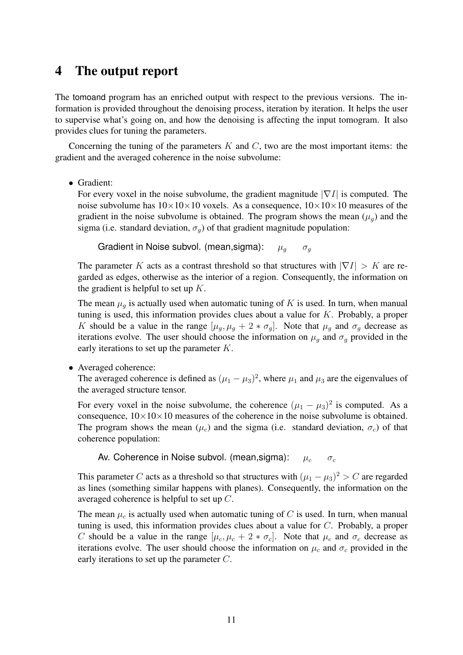# 4 The output report

The tomoand program has an enriched output with respect to the previous versions. The information is provided throughout the denoising process, iteration by iteration. It helps the user to supervise what's going on, and how the denoising is affecting the input tomogram. It also provides clues for tuning the parameters.

Concerning the tuning of the parameters  $K$  and  $C$ , two are the most important items: the gradient and the averaged coherence in the noise subvolume:

• Gradient:

For every voxel in the noise subvolume, the gradient magnitude  $|\nabla I|$  is computed. The noise subvolume has  $10 \times 10 \times 10$  voxels. As a consequence,  $10 \times 10 \times 10$  measures of the gradient in the noise subvolume is obtained. The program shows the mean  $(\mu_q)$  and the sigma (i.e. standard deviation,  $\sigma_q$ ) of that gradient magnitude population:

Gradient in Noise subvol. (mean, sigma):  $\mu_q$   $\sigma_q$ 

The parameter K acts as a contrast threshold so that structures with  $|\nabla I| > K$  are regarded as edges, otherwise as the interior of a region. Consequently, the information on the gradient is helpful to set up  $K$ .

The mean  $\mu_q$  is actually used when automatic tuning of K is used. In turn, when manual tuning is used, this information provides clues about a value for K. Probably, a proper K should be a value in the range  $[\mu_g, \mu_g + 2 * \sigma_g]$ . Note that  $\mu_g$  and  $\sigma_g$  decrease as iterations evolve. The user should choose the information on  $\mu_q$  and  $\sigma_q$  provided in the early iterations to set up the parameter K.

• Averaged coherence:

The averaged coherence is defined as  $(\mu_1 - \mu_3)^2$ , where  $\mu_1$  and  $\mu_3$  are the eigenvalues of the averaged structure tensor.

For every voxel in the noise subvolume, the coherence  $(\mu_1 - \mu_3)^2$  is computed. As a consequence,  $10\times10\times10$  measures of the coherence in the noise subvolume is obtained. The program shows the mean  $(\mu_c)$  and the sigma (i.e. standard deviation,  $\sigma_c$ ) of that coherence population:

Av. Coherence in Noise subvol. (mean, sigma):  $\mu_c$   $\sigma_c$ 

This parameter C acts as a threshold so that structures with  $(\mu_1 - \mu_3)^2 > C$  are regarded as lines (something similar happens with planes). Consequently, the information on the averaged coherence is helpful to set up C.

The mean  $\mu_c$  is actually used when automatic tuning of C is used. In turn, when manual tuning is used, this information provides clues about a value for C. Probably, a proper C should be a value in the range  $[\mu_c, \mu_c + 2 * \sigma_c]$ . Note that  $\mu_c$  and  $\sigma_c$  decrease as iterations evolve. The user should choose the information on  $\mu_c$  and  $\sigma_c$  provided in the early iterations to set up the parameter C.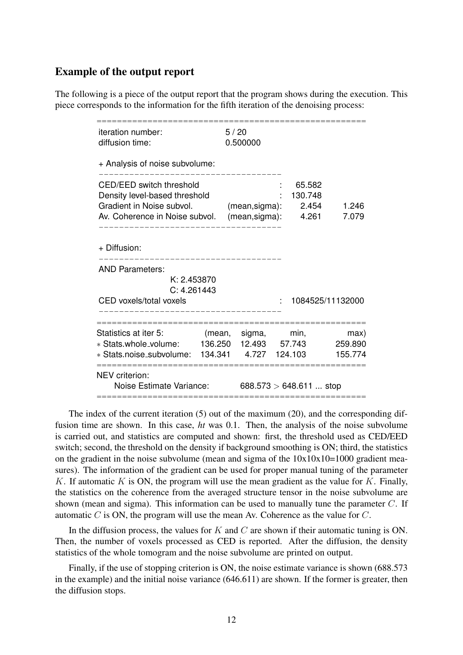#### Example of the output report

The following is a piece of the output report that the program shows during the execution. This piece corresponds to the information for the fifth iteration of the denoising process:

| iteration number:<br>diffusion time:                                                                                            |                          | 5/20<br>0.500000                   |                                     |                            |
|---------------------------------------------------------------------------------------------------------------------------------|--------------------------|------------------------------------|-------------------------------------|----------------------------|
| + Analysis of noise subvolume:                                                                                                  |                          |                                    |                                     |                            |
| <b>CED/EED switch threshold</b><br>Density level-based threshold<br>Gradient in Noise subvol.<br>Av. Coherence in Noise subvol. |                          | $(mean,sigma)$ :<br>(mean, sigma): | 65.582<br>130.748<br>2.454<br>4.261 | 1.246<br>7.079             |
| + Diffusion:                                                                                                                    |                          |                                    |                                     |                            |
| <b>AND Parameters:</b><br>K: 2.453870<br>C: 4.261443<br>CED voxels/total voxels                                                 |                          |                                    |                                     | 1084525/11132000           |
|                                                                                                                                 |                          |                                    |                                     |                            |
| Statistics at iter 5:<br>* Stats.whole_volume: 136.250 12.493 57.743<br>* Stats.noise_subvolume: 134.341                        |                          | (mean, sigma,<br>4.727             | min,<br>124.103                     | max)<br>259.890<br>155.774 |
| NEV criterion:<br>Noise Estimate Variance:                                                                                      | 688.573 $> 648.611$ stop |                                    |                                     |                            |

The index of the current iteration (5) out of the maximum (20), and the corresponding diffusion time are shown. In this case, *ht* was 0.1. Then, the analysis of the noise subvolume is carried out, and statistics are computed and shown: first, the threshold used as CED/EED switch; second, the threshold on the density if background smoothing is ON; third, the statistics on the gradient in the noise subvolume (mean and sigma of the  $10x10x10=1000$  gradient measures). The information of the gradient can be used for proper manual tuning of the parameter K. If automatic K is ON, the program will use the mean gradient as the value for K. Finally, the statistics on the coherence from the averaged structure tensor in the noise subvolume are shown (mean and sigma). This information can be used to manually tune the parameter  $C$ . If automatic C is ON, the program will use the mean Av. Coherence as the value for  $C$ .

In the diffusion process, the values for  $K$  and  $C$  are shown if their automatic tuning is ON. Then, the number of voxels processed as CED is reported. After the diffusion, the density statistics of the whole tomogram and the noise subvolume are printed on output.

Finally, if the use of stopping criterion is ON, the noise estimate variance is shown (688.573 in the example) and the initial noise variance (646.611) are shown. If the former is greater, then the diffusion stops.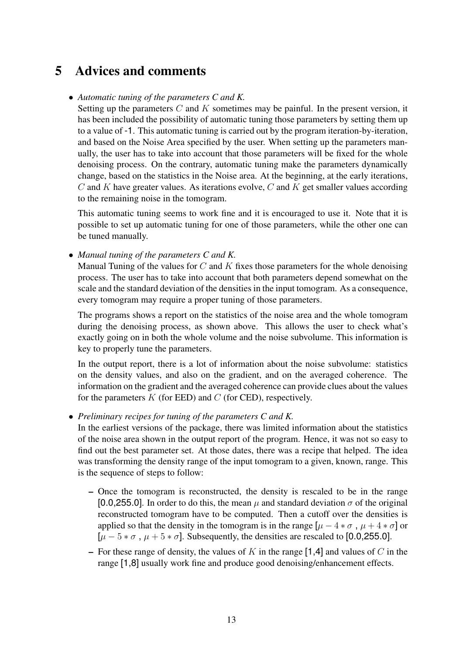# 5 Advices and comments

### • *Automatic tuning of the parameters C and K.*

Setting up the parameters  $C$  and  $K$  sometimes may be painful. In the present version, it has been included the possibility of automatic tuning those parameters by setting them up to a value of -1. This automatic tuning is carried out by the program iteration-by-iteration, and based on the Noise Area specified by the user. When setting up the parameters manually, the user has to take into account that those parameters will be fixed for the whole denoising process. On the contrary, automatic tuning make the parameters dynamically change, based on the statistics in the Noise area. At the beginning, at the early iterations,  $C$  and  $K$  have greater values. As iterations evolve,  $C$  and  $K$  get smaller values according to the remaining noise in the tomogram.

This automatic tuning seems to work fine and it is encouraged to use it. Note that it is possible to set up automatic tuning for one of those parameters, while the other one can be tuned manually.

• *Manual tuning of the parameters C and K.*

Manual Tuning of the values for  $C$  and  $K$  fixes those parameters for the whole denoising process. The user has to take into account that both parameters depend somewhat on the scale and the standard deviation of the densities in the input tomogram. As a consequence, every tomogram may require a proper tuning of those parameters.

The programs shows a report on the statistics of the noise area and the whole tomogram during the denoising process, as shown above. This allows the user to check what's exactly going on in both the whole volume and the noise subvolume. This information is key to properly tune the parameters.

In the output report, there is a lot of information about the noise subvolume: statistics on the density values, and also on the gradient, and on the averaged coherence. The information on the gradient and the averaged coherence can provide clues about the values for the parameters  $K$  (for EED) and  $C$  (for CED), respectively.

• *Preliminary recipes for tuning of the parameters C and K.*

In the earliest versions of the package, there was limited information about the statistics of the noise area shown in the output report of the program. Hence, it was not so easy to find out the best parameter set. At those dates, there was a recipe that helped. The idea was transforming the density range of the input tomogram to a given, known, range. This is the sequence of steps to follow:

- Once the tomogram is reconstructed, the density is rescaled to be in the range [0.0,255.0]. In order to do this, the mean  $\mu$  and standard deviation  $\sigma$  of the original reconstructed tomogram have to be computed. Then a cutoff over the densities is applied so that the density in the tomogram is in the range  $[\mu - 4 * \sigma, \mu + 4 * \sigma]$  or  $[\mu - 5 * \sigma, \mu + 5 * \sigma]$ . Subsequently, the densities are rescaled to [0.0,255.0].
- For these range of density, the values of K in the range [1,4] and values of C in the range [1,8] usually work fine and produce good denoising/enhancement effects.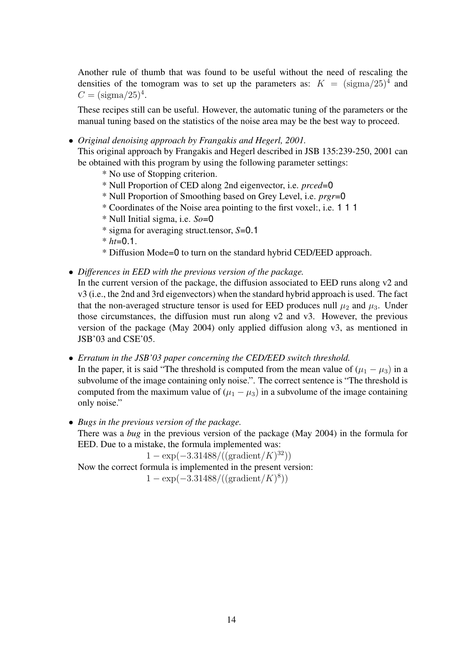Another rule of thumb that was found to be useful without the need of rescaling the densities of the tomogram was to set up the parameters as:  $K = (\text{sigma}/25)^4$  and  $C = (sigma/25)^4$ .

These recipes still can be useful. However, the automatic tuning of the parameters or the manual tuning based on the statistics of the noise area may be the best way to proceed.

• *Original denoising approach by Frangakis and Hegerl, 2001.*

This original approach by Frangakis and Hegerl described in JSB 135:239-250, 2001 can be obtained with this program by using the following parameter settings:

- \* No use of Stopping criterion.
- \* Null Proportion of CED along 2nd eigenvector, i.e. *prced*=0
- \* Null Proportion of Smoothing based on Grey Level, i.e. *prgr*=0
- \* Coordinates of the Noise area pointing to the first voxel:, i.e. 1 1 1
- \* Null Initial sigma, i.e. *So*=0
- \* sigma for averaging struct.tensor, *S*=0.1
- $*$  *ht*=0.1.
- \* Diffusion Mode=0 to turn on the standard hybrid CED/EED approach.
- *Differences in EED with the previous version of the package.*

In the current version of the package, the diffusion associated to EED runs along v2 and v3 (i.e., the 2nd and 3rd eigenvectors) when the standard hybrid approach is used. The fact that the non-averaged structure tensor is used for EED produces null  $\mu_2$  and  $\mu_3$ . Under those circumstances, the diffusion must run along v2 and v3. However, the previous version of the package (May 2004) only applied diffusion along v3, as mentioned in JSB'03 and CSE'05.

• *Erratum in the JSB'03 paper concerning the CED/EED switch threshold.*

In the paper, it is said "The threshold is computed from the mean value of  $(\mu_1 - \mu_3)$  in a subvolume of the image containing only noise.". The correct sentence is "The threshold is computed from the maximum value of  $(\mu_1 - \mu_3)$  in a subvolume of the image containing only noise."

• *Bugs in the previous version of the package.*

There was a *bug* in the previous version of the package (May 2004) in the formula for EED. Due to a mistake, the formula implemented was:

 $1 - \exp(-3.31488/((\text{gradient}/K)^{32}))$ Now the correct formula is implemented in the present version:  $1 - \exp(-3.31488/((\text{gradient}/K)^8))$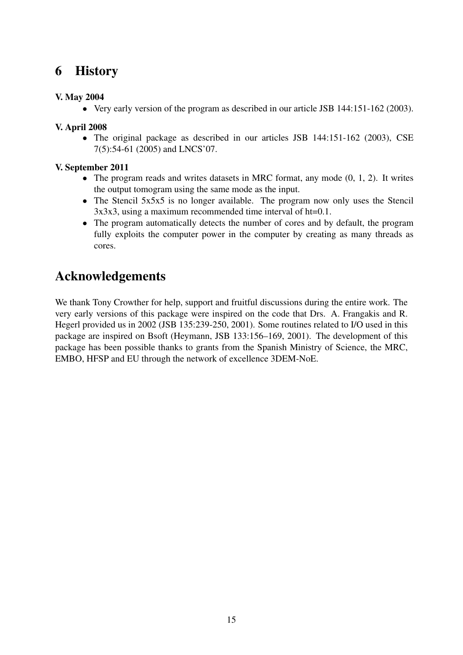# 6 History

## V. May 2004

• Very early version of the program as described in our article JSB 144:151-162 (2003).

## V. April 2008

• The original package as described in our articles JSB 144:151-162 (2003), CSE 7(5):54-61 (2005) and LNCS'07.

### V. September 2011

- The program reads and writes datasets in MRC format, any mode  $(0, 1, 2)$ . It writes the output tomogram using the same mode as the input.
- The Stencil 5x5x5 is no longer available. The program now only uses the Stencil 3x3x3, using a maximum recommended time interval of ht=0.1.
- The program automatically detects the number of cores and by default, the program fully exploits the computer power in the computer by creating as many threads as cores.

# Acknowledgements

We thank Tony Crowther for help, support and fruitful discussions during the entire work. The very early versions of this package were inspired on the code that Drs. A. Frangakis and R. Hegerl provided us in 2002 (JSB 135:239-250, 2001). Some routines related to I/O used in this package are inspired on Bsoft (Heymann, JSB 133:156–169, 2001). The development of this package has been possible thanks to grants from the Spanish Ministry of Science, the MRC, EMBO, HFSP and EU through the network of excellence 3DEM-NoE.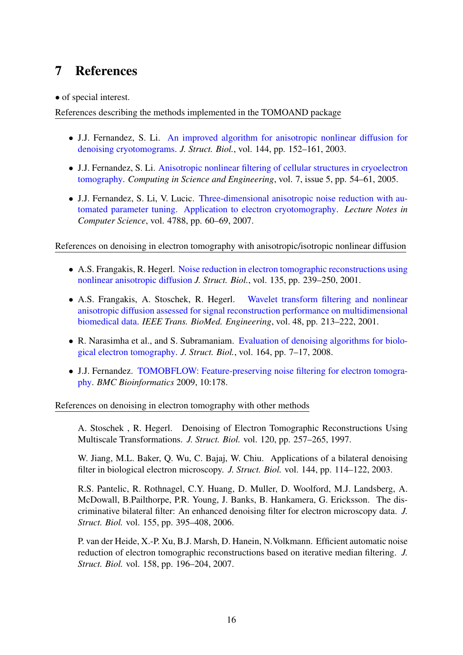# 7 References

• of special interest.

References describing the methods implemented in the TOMOAND package

- J.J. Fernandez, S. Li. [An improved algorithm for anisotropic nonlinear diffusion for](http://dx.doi.org/10.1016/j.jsb.2003.09.010) [denoising cryotomograms.](http://dx.doi.org/10.1016/j.jsb.2003.09.010) *J. Struct. Biol.*, vol. 144, pp. 152–161, 2003.
- J.J. Fernandez, S. Li. [Anisotropic nonlinear filtering of cellular structures in cryoelectron](http://dx.doi.org/10.1109/MCSE.2005.89) [tomography.](http://dx.doi.org/10.1109/MCSE.2005.89) *Computing in Science and Engineering*, vol. 7, issue 5, pp. 54–61, 2005.
- J.J. Fernandez, S. Li, V. Lucic. [Three-dimensional anisotropic noise reduction with au](http://dx.doi.org/10.1007/978-3-540-75271-4_7)[tomated parameter tuning. Application to electron cryotomography.](http://dx.doi.org/10.1007/978-3-540-75271-4_7) *Lecture Notes in Computer Science*, vol. 4788, pp. 60–69, 2007.

References on denoising in electron tomography with anisotropic/isotropic nonlinear diffusion

- A.S. Frangakis, R. Hegerl. [Noise reduction in electron tomographic reconstructions using](http://dx.doi.org/10.1006/jsbi.2001.4406) [nonlinear anisotropic diffusion](http://dx.doi.org/10.1006/jsbi.2001.4406) *J. Struct. Biol.*, vol. 135, pp. 239–250, 2001.
- A.S. Frangakis, A. Stoschek, R. Hegerl. [Wavelet transform filtering and nonlinear](http://dx.doi.org/10.1109/10.909642) [anisotropic diffusion assessed for signal reconstruction performance on multidimensional](http://dx.doi.org/10.1109/10.909642) [biomedical data.](http://dx.doi.org/10.1109/10.909642) *IEEE Trans. BioMed. Engineering*, vol. 48, pp. 213–222, 2001.
- R. Narasimha et al., and S. Subramaniam. [Evaluation of denoising algorithms for biolo](http://dx.doi.org/10.1016/j.jsb.2008.04.006)[gical electron tomography.](http://dx.doi.org/10.1016/j.jsb.2008.04.006) *J. Struct. Biol.*, vol. 164, pp. 7–17, 2008.
- J.J. Fernandez. [TOMOBFLOW: Feature-preserving noise filtering for electron tomogra](http://www.biomedcentral.com/1471-2105/10/178)[phy.](http://www.biomedcentral.com/1471-2105/10/178) *BMC Bioinformatics* 2009, 10:178.

References on denoising in electron tomography with other methods

A. Stoschek , R. Hegerl. Denoising of Electron Tomographic Reconstructions Using Multiscale Transformations. *J. Struct. Biol.* vol. 120, pp. 257–265, 1997.

W. Jiang, M.L. Baker, Q. Wu, C. Bajaj, W. Chiu. Applications of a bilateral denoising filter in biological electron microscopy. *J. Struct. Biol.* vol. 144, pp. 114–122, 2003.

R.S. Pantelic, R. Rothnagel, C.Y. Huang, D. Muller, D. Woolford, M.J. Landsberg, A. McDowall, B.Pailthorpe, P.R. Young, J. Banks, B. Hankamera, G. Ericksson. The discriminative bilateral filter: An enhanced denoising filter for electron microscopy data. *J. Struct. Biol.* vol. 155, pp. 395–408, 2006.

P. van der Heide, X.-P. Xu, B.J. Marsh, D. Hanein, N.Volkmann. Efficient automatic noise reduction of electron tomographic reconstructions based on iterative median filtering. *J. Struct. Biol.* vol. 158, pp. 196–204, 2007.